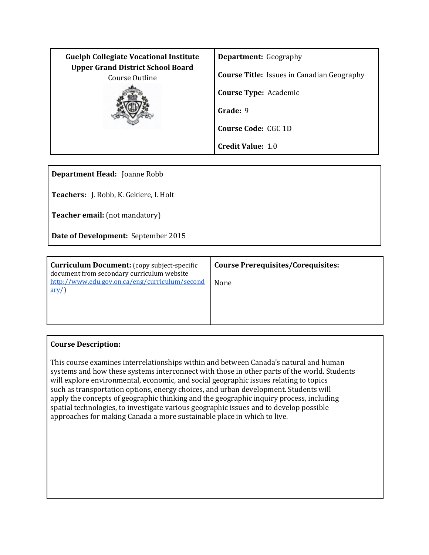| <b>Guelph Collegiate Vocational Institute</b>              | <b>Department:</b> Geography                      |
|------------------------------------------------------------|---------------------------------------------------|
| <b>Upper Grand District School Board</b><br>Course Outline | <b>Course Title:</b> Issues in Canadian Geography |
|                                                            | <b>Course Type: Academic</b>                      |
|                                                            | Grade: 9                                          |
|                                                            | <b>Course Code: CGC 1D</b>                        |
|                                                            | <b>Credit Value: 1.0</b>                          |

**Department Head:** Joanne Robb

**Teachers:** J. Robb, K. Gekiere, I. Holt

**Teacher email:** (not mandatory)

**Date of Development:** September 2015

| <b>Curriculum Document:</b> (copy subject-specific<br>document from secondary curriculum website | <b>Course Prerequisites/Corequisites:</b> |
|--------------------------------------------------------------------------------------------------|-------------------------------------------|
| http://www.edu.gov.on.ca/eng/curriculum/second<br>$\frac{\text{arv}}{\text{c}}$                  | None                                      |
|                                                                                                  |                                           |

## **Course Description:**

This course examines interrelationships within and between Canada's natural and human systems and how these systems interconnect with those in other parts of the world. Students will explore environmental, economic, and social geographic issues relating to topics such as transportation options, energy choices, and urban development. Students will apply the concepts of geographic thinking and the geographic inquiry process, including spatial technologies, to investigate various geographic issues and to develop possible approaches for making Canada a more sustainable place in which to live.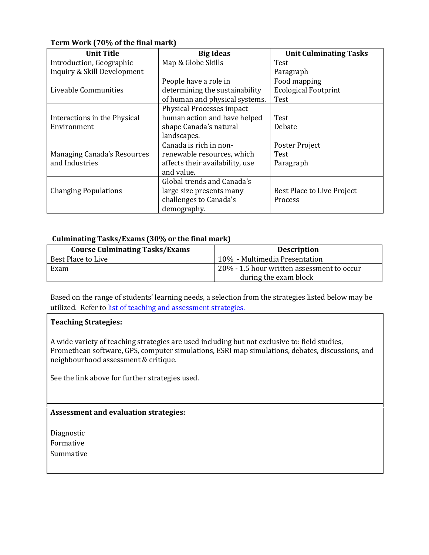| <b>Unit Title</b>            | <b>Big Ideas</b>                | <b>Unit Culminating Tasks</b> |
|------------------------------|---------------------------------|-------------------------------|
| Introduction, Geographic     | Map & Globe Skills              | Test                          |
| Inquiry & Skill Development  |                                 | Paragraph                     |
|                              | People have a role in           | Food mapping                  |
| Liveable Communities         | determining the sustainability  | <b>Ecological Footprint</b>   |
|                              | of human and physical systems.  | Test                          |
|                              | Physical Processes impact       |                               |
| Interactions in the Physical | human action and have helped    | Test                          |
| Environment                  | shape Canada's natural          | Debate                        |
|                              | landscapes.                     |                               |
|                              | Canada is rich in non-          | Poster Project                |
| Managing Canada's Resources  | renewable resources, which      | Test                          |
| and Industries               | affects their availability, use | Paragraph                     |
|                              | and value.                      |                               |
|                              | Global trends and Canada's      |                               |
| <b>Changing Populations</b>  | large size presents many        | Best Place to Live Project    |
|                              | challenges to Canada's          | Process                       |
|                              | demography.                     |                               |

## **Term Work (70% of the final mark)**

## **Culminating Tasks/Exams (30% or the final mark)**

| <b>Course Culminating Tasks/Exams</b> | <b>Description</b>                         |
|---------------------------------------|--------------------------------------------|
| Best Place to Live                    | 10% - Multimedia Presentation              |
| Exam                                  | 20% - 1.5 hour written assessment to occur |
|                                       | during the exam block                      |

Based on the range of students' learning needs, a selection from the strategies listed below may be utilized. Refer t[o list of teaching and assessment strategies.](http://www.ugdsb.on.ca/gcvi/dept/)

#### **Teaching Strategies:**

A wide variety of teaching strategies are used including but not exclusive to: field studies, Promethean software, GPS, computer simulations, ESRI map simulations, debates, discussions, and neighbourhood assessment & critique.

See the link above for further strategies used.

### **Assessment and evaluation strategies:**

Diagnostic Formative Summative